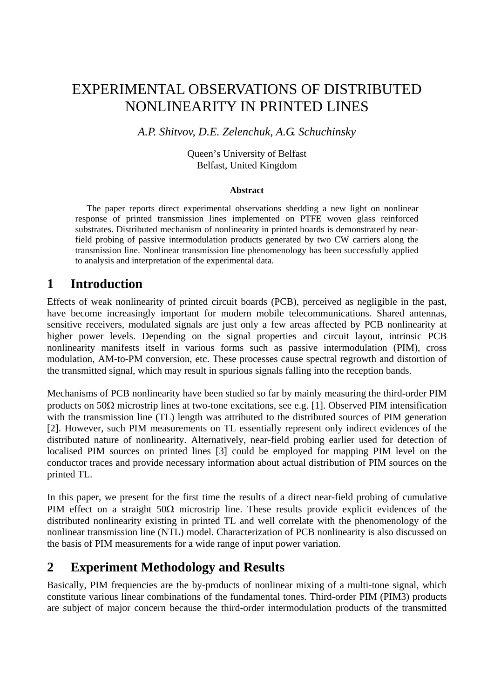# EXPERIMENTAL OBSERVATIONS OF DISTRIBUTED NONLINEARITY IN PRINTED LINES

#### *A.P. Shitvov, D.E. Zelenchuk, A.G. Schuchinsky*

Queen's University of Belfast Belfast, United Kingdom

#### **Abstract**

 The paper reports direct experimental observations shedding a new light on nonlinear response of printed transmission lines implemented on PTFE woven glass reinforced substrates. Distributed mechanism of nonlinearity in printed boards is demonstrated by nearfield probing of passive intermodulation products generated by two CW carriers along the transmission line. Nonlinear transmission line phenomenology has been successfully applied to analysis and interpretation of the experimental data.

#### **1 Introduction**

Effects of weak nonlinearity of printed circuit boards (PCB), perceived as negligible in the past, have become increasingly important for modern mobile telecommunications. Shared antennas, sensitive receivers, modulated signals are just only a few areas affected by PCB nonlinearity at higher power levels. Depending on the signal properties and circuit layout, intrinsic PCB nonlinearity manifests itself in various forms such as passive intermodulation (PIM), cross modulation, AM-to-PM conversion, etc. These processes cause spectral regrowth and distortion of the transmitted signal, which may result in spurious signals falling into the reception bands.

Mechanisms of PCB nonlinearity have been studied so far by mainly measuring the third-order PIM products on 50Ω microstrip lines at two-tone excitations, see e.g. [1]. Observed PIM intensification with the transmission line (TL) length was attributed to the distributed sources of PIM generation [2]. However, such PIM measurements on TL essentially represent only indirect evidences of the distributed nature of nonlinearity. Alternatively, near-field probing earlier used for detection of localised PIM sources on printed lines [3] could be employed for mapping PIM level on the conductor traces and provide necessary information about actual distribution of PIM sources on the printed TL.

In this paper, we present for the first time the results of a direct near-field probing of cumulative PIM effect on a straight  $50\Omega$  microstrip line. These results provide explicit evidences of the distributed nonlinearity existing in printed TL and well correlate with the phenomenology of the nonlinear transmission line (NTL) model. Characterization of PCB nonlinearity is also discussed on the basis of PIM measurements for a wide range of input power variation.

#### **2 Experiment Methodology and Results**

Basically, PIM frequencies are the by-products of nonlinear mixing of a multi-tone signal, which constitute various linear combinations of the fundamental tones. Third-order PIM (PIM3) products are subject of major concern because the third-order intermodulation products of the transmitted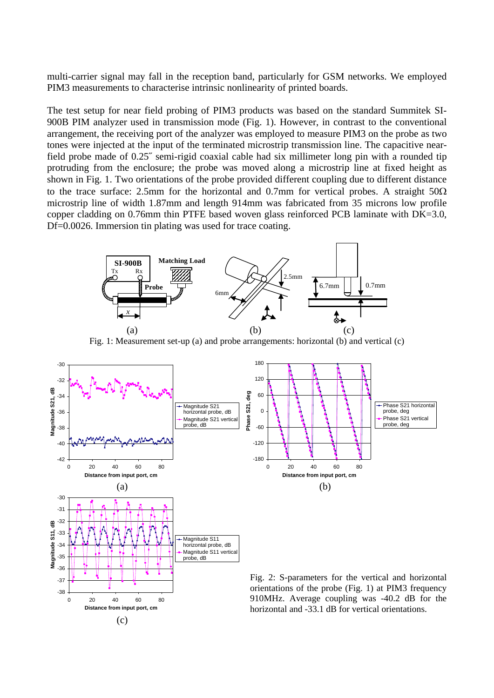multi-carrier signal may fall in the reception band, particularly for GSM networks. We employed PIM3 measurements to characterise intrinsic nonlinearity of printed boards.

The test setup for near field probing of PIM3 products was based on the standard Summitek SI-900B PIM analyzer used in transmission mode (Fig. 1). However, in contrast to the conventional arrangement, the receiving port of the analyzer was employed to measure PIM3 on the probe as two tones were injected at the input of the terminated microstrip transmission line. The capacitive nearfield probe made of 0.25˝ semi-rigid coaxial cable had six millimeter long pin with a rounded tip protruding from the enclosure; the probe was moved along a microstrip line at fixed height as shown in Fig. 1. Two orientations of the probe provided different coupling due to different distance to the trace surface: 2.5mm for the horizontal and 0.7mm for vertical probes. A straight  $50\Omega$ microstrip line of width 1.87mm and length 914mm was fabricated from 35 microns low profile copper cladding on 0.76mm thin PTFE based woven glass reinforced PCB laminate with DK=3.0, Df=0.0026. Immersion tin plating was used for trace coating.



Fig. 1: Measurement set-up (a) and probe arrangements: horizontal (b) and vertical (c)

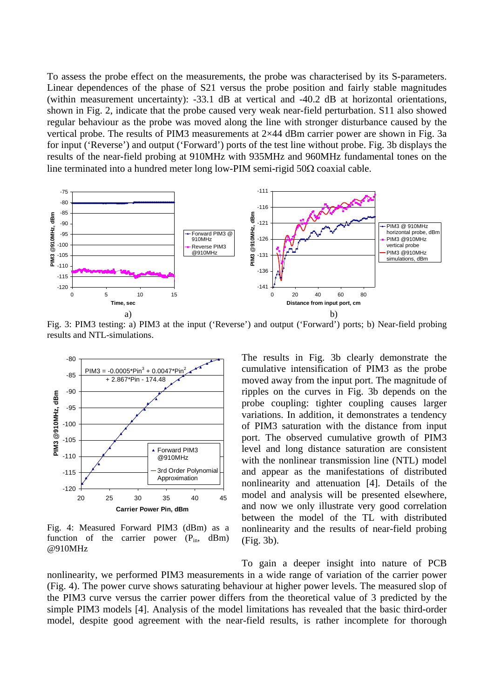To assess the probe effect on the measurements, the probe was characterised by its S-parameters. Linear dependences of the phase of S21 versus the probe position and fairly stable magnitudes (within measurement uncertainty): -33.1 dB at vertical and -40.2 dB at horizontal orientations, shown in Fig. 2, indicate that the probe caused very weak near-field perturbation. S11 also showed regular behaviour as the probe was moved along the line with stronger disturbance caused by the vertical probe. The results of PIM3 measurements at 2×44 dBm carrier power are shown in Fig. 3a for input ('Reverse') and output ('Forward') ports of the test line without probe. Fig. 3b displays the results of the near-field probing at 910MHz with 935MHz and 960MHz fundamental tones on the line terminated into a hundred meter long low-PIM semi-rigid  $50\Omega$  coaxial cable.



Fig. 3: PIM3 testing: a) PIM3 at the input ('Reverse') and output ('Forward') ports; b) Near-field probing results and NTL-simulations.



Fig. 4: Measured Forward PIM3 (dBm) as a function of the carrier power  $(P_{in}$ , dBm) @910MHz

The results in Fig. 3b clearly demonstrate the cumulative intensification of PIM3 as the probe moved away from the input port. The magnitude of ripples on the curves in Fig. 3b depends on the probe coupling: tighter coupling causes larger variations. In addition, it demonstrates a tendency of PIM3 saturation with the distance from input port. The observed cumulative growth of PIM3 level and long distance saturation are consistent with the nonlinear transmission line (NTL) model and appear as the manifestations of distributed nonlinearity and attenuation [4]. Details of the model and analysis will be presented elsewhere, and now we only illustrate very good correlation between the model of the TL with distributed nonlinearity and the results of near-field probing (Fig. 3b).

To gain a deeper insight into nature of PCB nonlinearity, we performed PIM3 measurements in a wide range of variation of the carrier power (Fig. 4). The power curve shows saturating behaviour at higher power levels. The measured slop of the PIM3 curve versus the carrier power differs from the theoretical value of 3 predicted by the simple PIM3 models [4]. Analysis of the model limitations has revealed that the basic third-order model, despite good agreement with the near-field results, is rather incomplete for thorough